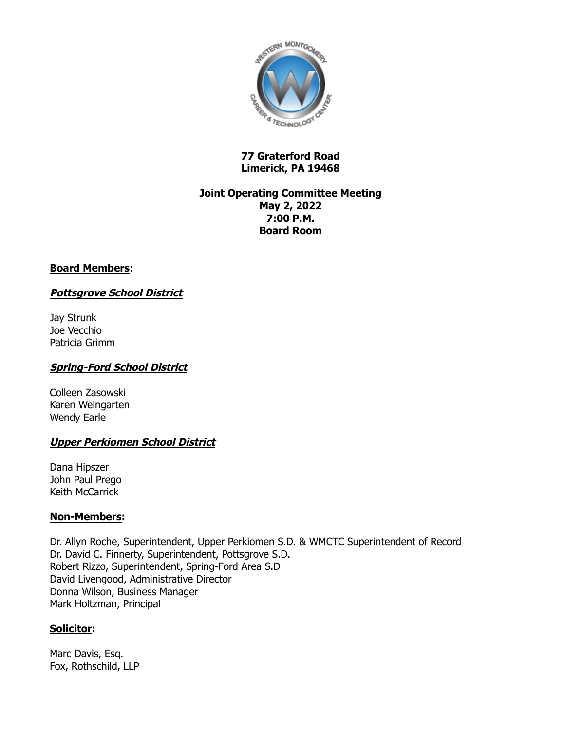

### **77 Graterford Road Limerick, PA 19468**

### **Joint Operating Committee Meeting May 2, 2022 7:00 P.M. Board Room**

## **Board Members:**

## **Pottsgrove School District**

Jay Strunk Joe Vecchio Patricia Grimm

### **Spring-Ford School District**

Colleen Zasowski Karen Weingarten Wendy Earle

#### **Upper Perkiomen School District**

Dana Hipszer John Paul Prego Keith McCarrick

#### **Non-Members:**

Dr. Allyn Roche, Superintendent, Upper Perkiomen S.D. & WMCTC Superintendent of Record Dr. David C. Finnerty, Superintendent, Pottsgrove S.D. Robert Rizzo, Superintendent, Spring-Ford Area S.D David Livengood, Administrative Director Donna Wilson, Business Manager Mark Holtzman, Principal

## **Solicitor:**

Marc Davis, Esq. Fox, Rothschild, LLP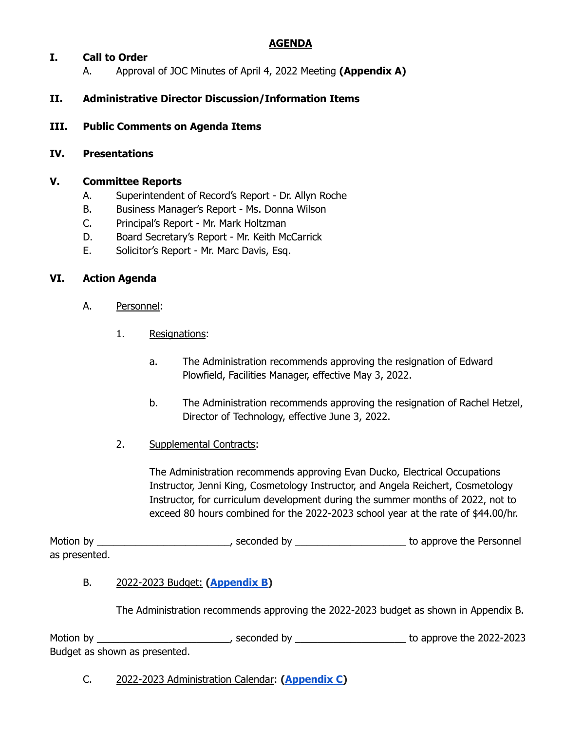## **AGENDA**

## **I. Call to Order**

A. Approval of JOC Minutes of April 4, 2022 Meeting **(Appendix A)**

# **II. Administrative Director Discussion/Information Items**

**III. Public Comments on Agenda Items**

#### **IV. Presentations**

### **V. Committee Reports**

- A. Superintendent of Record's Report Dr. Allyn Roche
- B. Business Manager's Report Ms. Donna Wilson
- C. Principal's Report Mr. Mark Holtzman
- D. Board Secretary's Report Mr. Keith McCarrick
- E. Solicitor's Report Mr. Marc Davis, Esq.

### **VI. Action Agenda**

- A. Personnel:
	- 1. Resignations:
		- a. The Administration recommends approving the resignation of Edward Plowfield, Facilities Manager, effective May 3, 2022.
		- b. The Administration recommends approving the resignation of Rachel Hetzel, Director of Technology, effective June 3, 2022.
	- 2. Supplemental Contracts:

The Administration recommends approving Evan Ducko, Electrical Occupations Instructor, Jenni King, Cosmetology Instructor, and Angela Reichert, Cosmetology Instructor, for curriculum development during the summer months of 2022, not to exceed 80 hours combined for the 2022-2023 school year at the rate of \$44.00/hr.

Motion by \_\_\_\_\_\_\_\_\_\_\_\_\_\_\_\_\_\_\_\_\_\_\_\_\_\_\_\_\_, seconded by \_\_\_\_\_\_\_\_\_\_\_\_\_\_\_\_\_\_\_\_\_\_\_\_\_\_ to approve the Personnel as presented.

## B. 2022-2023 Budget: **[\(Appendix](https://docs.google.com/spreadsheets/d/1OuZbq0lJ-0JMJWz1g7vcLRHDH5XorvBl/edit?usp=sharing&ouid=116477690860058712794&rtpof=true&sd=true) B)**

The Administration recommends approving the 2022-2023 budget as shown in Appendix B.

Motion by \_\_\_\_\_\_\_\_\_\_\_\_\_\_\_\_\_\_\_\_\_\_\_\_\_\_\_\_\_, seconded by \_\_\_\_\_\_\_\_\_\_\_\_\_\_\_\_\_\_\_\_\_\_\_\_\_\_ to approve the 2022-2023 Budget as shown as presented.

C. 2022-2023 Administration Calendar: **[\(Appendix](https://drive.google.com/file/d/1RxLnvxtvQIvn1k1YjPDZMovlir1WH8R1/view?usp=sharing) C)**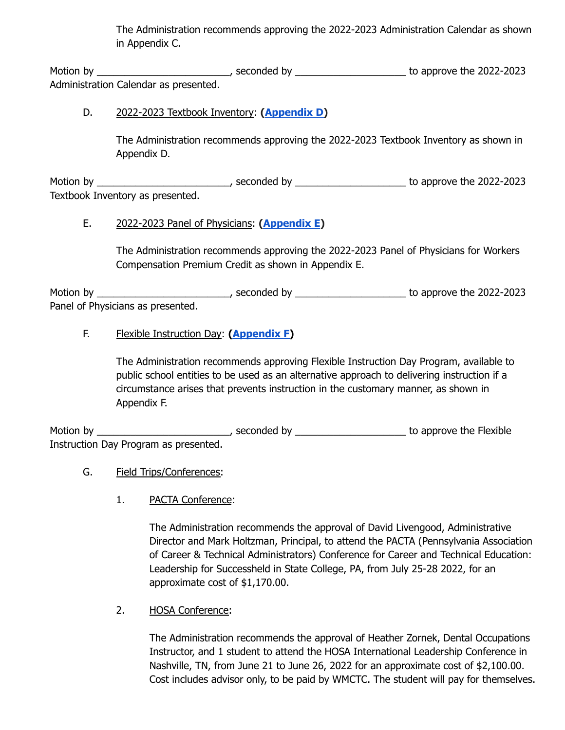The Administration recommends approving the 2022-2023 Administration Calendar as shown in Appendix C.

Motion by \_\_\_\_\_\_\_\_\_\_\_\_\_\_\_\_\_\_\_\_\_\_\_\_\_\_\_\_\_\_\_, seconded by \_\_\_\_\_\_\_\_\_\_\_\_\_\_\_\_\_\_\_\_\_\_\_\_\_ to approve the 2022-2023 Administration Calendar as presented.

# D. 2022-2023 Textbook Inventory: **[\(Appendix](https://docs.google.com/spreadsheets/d/11GTW00jit4oV6hBzpuIpPySV2k_3SBVUsR_zbVoJeGs/edit?usp=sharing) D)**

The Administration recommends approving the 2022-2023 Textbook Inventory as shown in Appendix D.

Motion by \_\_\_\_\_\_\_\_\_\_\_\_\_\_\_\_\_\_\_\_\_\_\_\_\_\_\_\_\_\_\_, seconded by \_\_\_\_\_\_\_\_\_\_\_\_\_\_\_\_\_\_\_\_\_\_\_\_\_ to approve the 2022-2023 Textbook Inventory as presented.

# E. 2022-2023 Panel of Physicians: **[\(Appendix](https://drive.google.com/file/d/1MMB8twbo0XAKr9iQaNjkhdzBUe_6j1-l/view?usp=sharing) E)**

The Administration recommends approving the 2022-2023 Panel of Physicians for Workers Compensation Premium Credit as shown in Appendix E.

Motion by \_\_\_\_\_\_\_\_\_\_\_\_\_\_\_\_\_\_\_\_\_\_\_\_\_\_\_\_\_\_\_, seconded by \_\_\_\_\_\_\_\_\_\_\_\_\_\_\_\_\_\_\_\_\_\_\_\_\_ to approve the 2022-2023 Panel of Physicians as presented.

# F. Flexible Instruction Day: **[\(Appendix](https://drive.google.com/file/d/1bih_XAX2pYwkruQcSkrDq-oziwXeGwqL/view?usp=sharing) F)**

The Administration recommends approving Flexible Instruction Day Program, available to public school entities to be used as an alternative approach to delivering instruction if a circumstance arises that prevents instruction in the customary manner, as shown in Appendix F.

Motion by \_\_\_\_\_\_\_\_\_\_\_\_\_\_\_\_\_\_\_\_\_\_\_\_\_\_\_\_\_\_, seconded by \_\_\_\_\_\_\_\_\_\_\_\_\_\_\_\_\_\_\_\_\_\_\_\_\_ to approve the Flexible Instruction Day Program as presented.

## G. Field Trips/Conferences:

1. PACTA Conference:

The Administration recommends the approval of David Livengood, Administrative Director and Mark Holtzman, Principal, to attend the PACTA (Pennsylvania Association of Career & Technical Administrators) Conference for Career and Technical Education: Leadership for Successheld in State College, PA, from July 25-28 2022, for an approximate cost of \$1,170.00.

2. HOSA Conference:

The Administration recommends the approval of Heather Zornek, Dental Occupations Instructor, and 1 student to attend the HOSA International Leadership Conference in Nashville, TN, from June 21 to June 26, 2022 for an approximate cost of \$2,100.00. Cost includes advisor only, to be paid by WMCTC. The student will pay for themselves.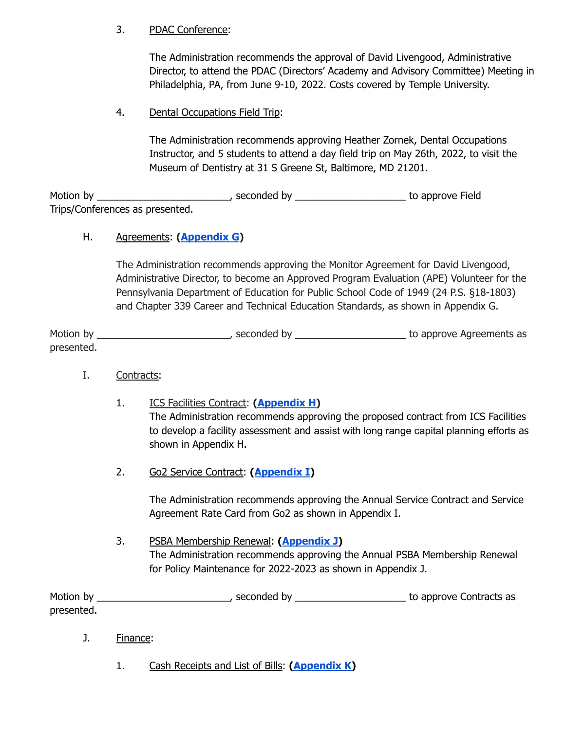## 3. PDAC Conference:

The Administration recommends the approval of David Livengood, Administrative Director, to attend the PDAC (Directors' Academy and Advisory Committee) Meeting in Philadelphia, PA, from June 9-10, 2022. Costs covered by Temple University.

## 4. Dental Occupations Field Trip:

The Administration recommends approving Heather Zornek, Dental Occupations Instructor, and 5 students to attend a day field trip on May 26th, 2022, to visit the Museum of Dentistry at 31 S Greene St, Baltimore, MD 21201.

Motion by \_\_\_\_\_\_\_\_\_\_\_\_\_\_\_\_\_\_\_\_\_\_\_\_\_\_\_\_\_\_\_\_, seconded by \_\_\_\_\_\_\_\_\_\_\_\_\_\_\_\_\_\_\_\_\_\_\_\_\_ to approve Field Trips/Conferences as presented.

# H. Agreements: **[\(Appendix](https://drive.google.com/file/d/1zsW4A7ygnsYJAfEp9ckvaDB-JlGvi7Sm/view?usp=sharing) G)**

The Administration recommends approving the Monitor Agreement for David Livengood, Administrative Director, to become an Approved Program Evaluation (APE) Volunteer for the Pennsylvania Department of Education for Public School Code of 1949 (24 P.S. §18-1803) and Chapter 339 Career and Technical Education Standards, as shown in Appendix G.

Motion by \_\_\_\_\_\_\_\_\_\_\_\_\_\_\_\_\_\_\_\_\_\_\_\_\_\_\_\_, seconded by \_\_\_\_\_\_\_\_\_\_\_\_\_\_\_\_\_\_\_\_\_\_\_\_\_\_ to approve Agreements as presented.

- I. Contracts:
	- 1. ICS Facilities Contract: **[\(Appendix](https://drive.google.com/file/d/1Asv2ngKausoOnU0idfivD66gJ49COlfi/view?usp=sharing) H)** The Administration recommends approving the proposed contract from ICS Facilities to develop a facility assessment and assist with long range capital planning efforts as shown in Appendix H.
	- 2. Go2 Service Contract: **([Appendix](https://drive.google.com/file/d/1MomYompkSmubyQpcyUlt9hYOYZ9jQ4tU/view?usp=sharing) I)**

The Administration recommends approving the Annual Service Contract and Service Agreement Rate Card from Go2 as shown in Appendix I.

3. PSBA Membership Renewal: **[\(Appendix](https://drive.google.com/file/d/1Q1iARw4YW1Rj5_4cl03pVuJbZrCCNDcp/view?usp=sharing) J)** The Administration recommends approving the Annual PSBA Membership Renewal for Policy Maintenance for 2022-2023 as shown in Appendix J.

Motion by \_\_\_\_\_\_\_\_\_\_\_\_\_\_\_\_\_\_\_\_\_\_\_\_\_\_\_\_, seconded by \_\_\_\_\_\_\_\_\_\_\_\_\_\_\_\_\_\_\_\_\_\_\_\_\_\_ to approve Contracts as presented.

- J. Finance:
	- 1. Cash Receipts and List of Bills: **[\(Appendix](https://drive.google.com/file/d/1rFsqo8r_9sCtmYB6dKgq_T4yKkbEelse/view?usp=sharing) K)**